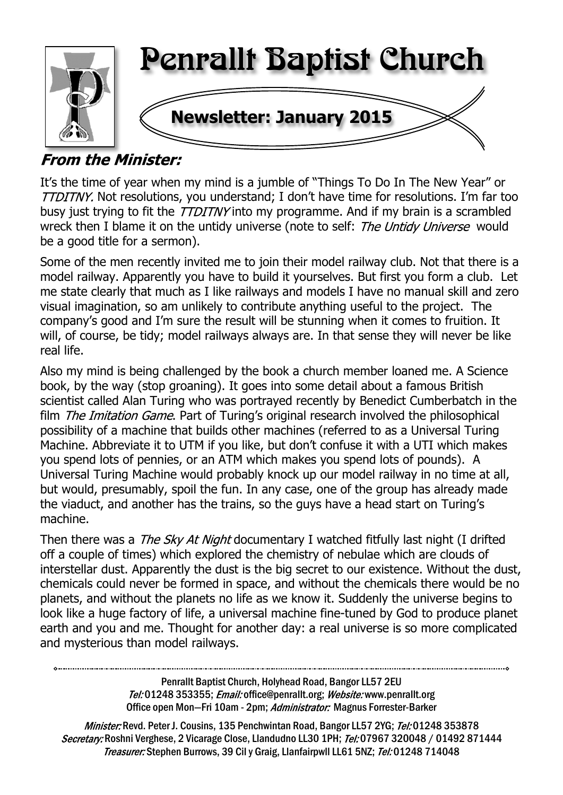

# **From the Minister:**

It's the time of year when my mind is a jumble of "Things To Do In The New Year" or TTDITNY. Not resolutions, you understand; I don't have time for resolutions. I'm far too busy just trying to fit the *TTDITNY* into my programme. And if my brain is a scrambled wreck then I blame it on the untidy universe (note to self: The Untidy Universe would be a good title for a sermon).

Some of the men recently invited me to join their model railway club. Not that there is a model railway. Apparently you have to build it yourselves. But first you form a club. Let me state clearly that much as I like railways and models I have no manual skill and zero visual imagination, so am unlikely to contribute anything useful to the project. The company's good and I'm sure the result will be stunning when it comes to fruition. It will, of course, be tidy; model railways always are. In that sense they will never be like real life.

Also my mind is being challenged by the book a church member loaned me. A Science book, by the way (stop groaning). It goes into some detail about a famous British scientist called Alan Turing who was portrayed recently by Benedict Cumberbatch in the film *The Imitation Game*. Part of Turing's original research involved the philosophical possibility of a machine that builds other machines (referred to as a Universal Turing Machine. Abbreviate it to UTM if you like, but don't confuse it with a UTI which makes you spend lots of pennies, or an ATM which makes you spend lots of pounds). A Universal Turing Machine would probably knock up our model railway in no time at all, but would, presumably, spoil the fun. In any case, one of the group has already made the viaduct, and another has the trains, so the guys have a head start on Turing's machine.

Then there was a *The Sky At Night* documentary I watched fitfully last night (I drifted off a couple of times) which explored the chemistry of nebulae which are clouds of interstellar dust. Apparently the dust is the big secret to our existence. Without the dust, chemicals could never be formed in space, and without the chemicals there would be no planets, and without the planets no life as we know it. Suddenly the universe begins to look like a huge factory of life, a universal machine fine-tuned by God to produce planet earth and you and me. Thought for another day: a real universe is so more complicated and mysterious than model railways.

> Penrallt Baptist Church, Holyhead Road, Bangor LL57 2EU Tel:01248 353355; Email: office@penrallt.org; Website: www.penrallt.org Office open Mon-Fri 10am - 2pm; Administrator: Magnus Forrester-Barker

Minister: Revd. Peter J. Cousins, 135 Penchwintan Road, Bangor LL57 2YG; Tel: 01248 353878 Secretary: Roshni Verghese, 2 Vicarage Close, Llandudno LL30 1PH; Tel: 07967 320048 / 01492 871444 Treasurer: Stephen Burrows, 39 Cil y Graig, Llanfairpwll LL61 5NZ; Tel: 01248 714048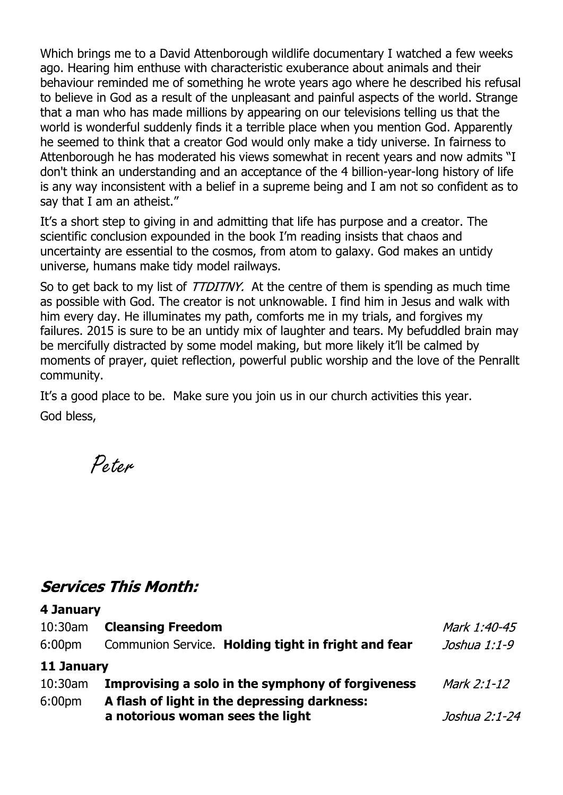Which brings me to a David Attenborough wildlife documentary I watched a few weeks ago. Hearing him enthuse with characteristic exuberance about animals and their behaviour reminded me of something he wrote years ago where he described his refusal to believe in God as a result of the unpleasant and painful aspects of the world. Strange that a man who has made millions by appearing on our televisions telling us that the world is wonderful suddenly finds it a terrible place when you mention God. Apparently he seemed to think that a creator God would only make a tidy universe. In fairness to Attenborough he has moderated his views somewhat in recent years and now admits "I don't think an understanding and an acceptance of the 4 billion-year-long history of life is any way inconsistent with a belief in a supreme being and I am not so confident as to say that I am an atheist."

It's a short step to giving in and admitting that life has purpose and a creator. The scientific conclusion expounded in the book I'm reading insists that chaos and uncertainty are essential to the cosmos, from atom to galaxy. God makes an untidy universe, humans make tidy model railways.

So to get back to my list of *TTDITNY*. At the centre of them is spending as much time as possible with God. The creator is not unknowable. I find him in Jesus and walk with him every day. He illuminates my path, comforts me in my trials, and forgives my failures. 2015 is sure to be an untidy mix of laughter and tears. My befuddled brain may be mercifully distracted by some model making, but more likely it'll be calmed by moments of prayer, quiet reflection, powerful public worship and the love of the Penrallt community.

It's a good place to be. Make sure you join us in our church activities this year. God bless,

Peter

## **Services This Month:**

**4 January**

| T JAHUAI Y         |                                                     |               |  |
|--------------------|-----------------------------------------------------|---------------|--|
| $10:30$ am         | <b>Cleansing Freedom</b>                            | Mark 1:40-45  |  |
| 6:00 <sub>pm</sub> | Communion Service. Holding tight in fright and fear | Joshua 1:1-9  |  |
| 11 January         |                                                     |               |  |
| $10:30$ am         | Improvising a solo in the symphony of forgiveness   | Mark 2:1-12   |  |
| 6:00 <sub>pm</sub> | A flash of light in the depressing darkness:        |               |  |
|                    | a notorious woman sees the light                    | Joshua 2:1-24 |  |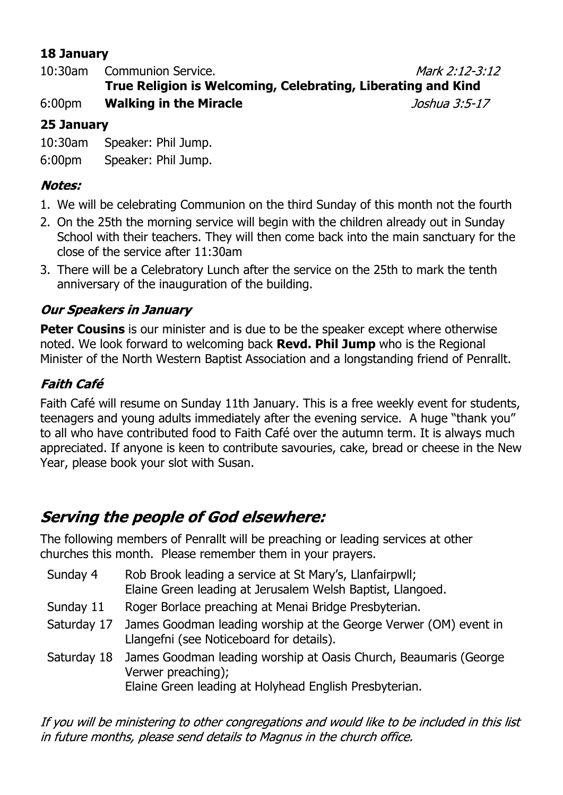## **18 January**

10:30am Communion Service. Mark 2:12-3:12 **True Religion is Welcoming, Celebrating, Liberating and Kind** 6:00pm **Walking in the Miracle** Joshua 3:5-17

### **25 January**

10:30am Speaker: Phil Jump.

6:00pm Speaker: Phil Jump.

#### **Notes:**

- 1. We will be celebrating Communion on the third Sunday of this month not the fourth
- 2. On the 25th the morning service will begin with the children already out in Sunday School with their teachers. They will then come back into the main sanctuary for the close of the service after 11:30am
- 3. There will be a Celebratory Lunch after the service on the 25th to mark the tenth anniversary of the inauguration of the building.

## **Our Speakers in January**

**Peter Cousins** is our minister and is due to be the speaker except where otherwise noted. We look forward to welcoming back **Revd. Phil Jump** who is the Regional Minister of the North Western Baptist Association and a longstanding friend of Penrallt.

## **Faith Café**

Faith Café will resume on Sunday 11th January. This is a free weekly event for students, teenagers and young adults immediately after the evening service. A huge "thank you" to all who have contributed food to Faith Café over the autumn term. It is always much appreciated. If anyone is keen to contribute savouries, cake, bread or cheese in the New Year, please book your slot with Susan.

# **Serving the people of God elsewhere:**

The following members of Penrallt will be preaching or leading services at other churches this month. Please remember them in your prayers.

- Sunday 4 Rob Brook leading a service at St Mary's, Llanfairpwll; Elaine Green leading at Jerusalem Welsh Baptist, Llangoed.
- Sunday 11 Roger Borlace preaching at Menai Bridge Presbyterian.
- Saturday 17 James Goodman leading worship at the George Verwer (OM) event in Llangefni (see Noticeboard for details).
- Saturday 18 James Goodman leading worship at Oasis Church, Beaumaris (George Verwer preaching); Elaine Green leading at Holyhead English Presbyterian.

If you will be ministering to other congregations and would like to be included in this list in future months, please send details to Magnus in the church office.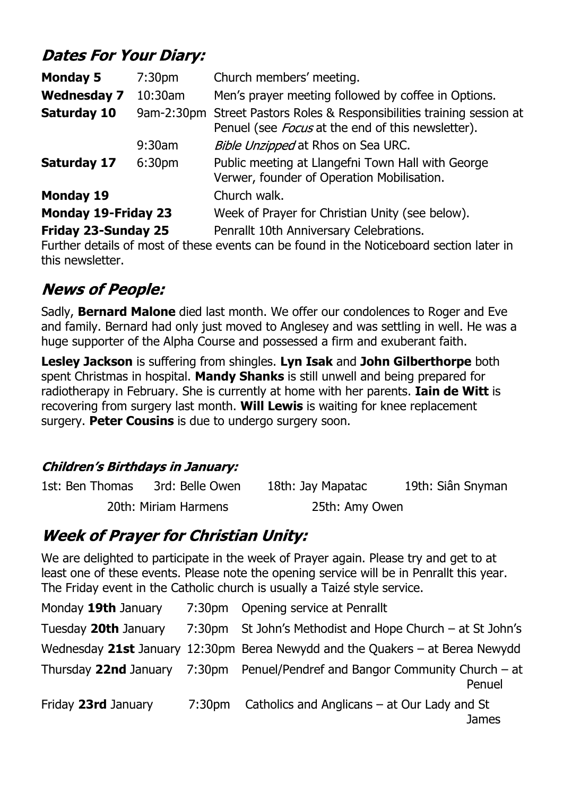# **Dates For Your Diary:**

| <b>Monday 5</b>            | 7:30 <sub>pm</sub> | Church members' meeting.                                                                                                |
|----------------------------|--------------------|-------------------------------------------------------------------------------------------------------------------------|
| <b>Wednesday 7</b>         | 10:30am            | Men's prayer meeting followed by coffee in Options.                                                                     |
| <b>Saturday 10</b>         | 9am-2:30pm         | Street Pastors Roles & Responsibilities training session at<br>Penuel (see <i>Focus</i> at the end of this newsletter). |
|                            | $9:30$ am          | Bible Unzipped at Rhos on Sea URC.                                                                                      |
| <b>Saturday 17</b>         | 6:30 <sub>pm</sub> | Public meeting at Llangefni Town Hall with George<br>Verwer, founder of Operation Mobilisation.                         |
| <b>Monday 19</b>           |                    | Church walk.                                                                                                            |
| <b>Monday 19-Friday 23</b> |                    | Week of Prayer for Christian Unity (see below).                                                                         |
| <b>Friday 23-Sunday 25</b> |                    | Penrallt 10th Anniversary Celebrations.                                                                                 |

Further details of most of these events can be found in the Noticeboard section later in this newsletter.

# **News of People:**

Sadly, **Bernard Malone** died last month. We offer our condolences to Roger and Eve and family. Bernard had only just moved to Anglesey and was settling in well. He was a huge supporter of the Alpha Course and possessed a firm and exuberant faith.

**Lesley Jackson** is suffering from shingles. **Lyn Isak** and **John Gilberthorpe** both spent Christmas in hospital. **Mandy Shanks** is still unwell and being prepared for radiotherapy in February. She is currently at home with her parents. **Iain de Witt** is recovering from surgery last month. **Will Lewis** is waiting for knee replacement surgery. **Peter Cousins** is due to undergo surgery soon.

#### **Children's Birthdays in January:**

| 1st: Ben Thomas | 3rd: Belle Owen      | 18th: Jay Mapatac | 19th: Siân Snyman |
|-----------------|----------------------|-------------------|-------------------|
|                 | 20th: Miriam Harmens | 25th: Amy Owen    |                   |

# **Week of Prayer for Christian Unity:**

We are delighted to participate in the week of Prayer again. Please try and get to at least one of these events. Please note the opening service will be in Penrallt this year. The Friday event in the Catholic church is usually a Taizé style service.

| Monday 19th January  | 7:30pm Opening service at Penrallt                                                     |
|----------------------|----------------------------------------------------------------------------------------|
| Tuesday 20th January | 7:30pm St John's Methodist and Hope Church – at St John's                              |
|                      | Wednesday 21st January 12:30pm Berea Newydd and the Quakers – at Berea Newydd          |
|                      | Thursday 22nd January 7:30pm Penuel/Pendref and Bangor Community Church – at<br>Penuel |
| Friday 23rd January  | 7:30pm Catholics and Anglicans – at Our Lady and St<br>James                           |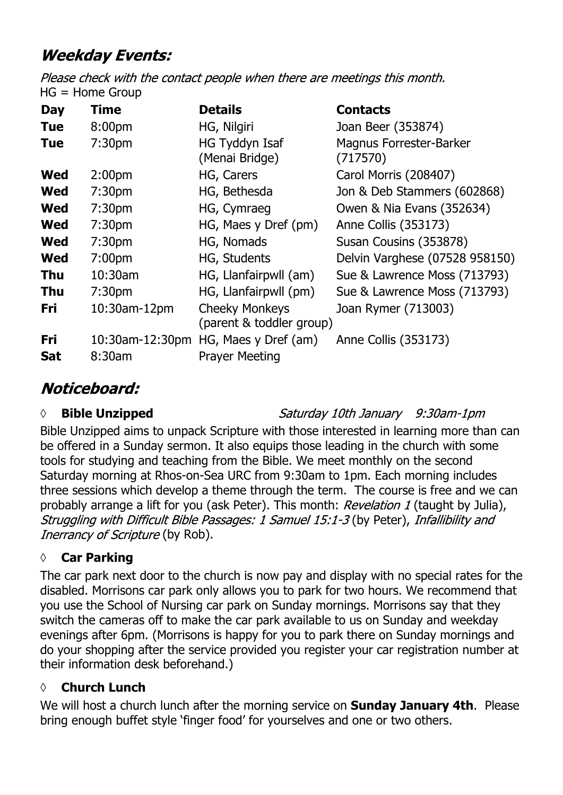# **Weekday Events:**

Please check with the contact people when there are meetings this month.  $HG = Home Group$ 

| <b>Day</b> | Time               | <b>Details</b>                                    | <b>Contacts</b>                            |
|------------|--------------------|---------------------------------------------------|--------------------------------------------|
| <b>Tue</b> | 8:00 <sub>pm</sub> | HG, Nilgiri                                       | Joan Beer (353874)                         |
| <b>Tue</b> | 7:30 <sub>pm</sub> | HG Tyddyn Isaf<br>(Menai Bridge)                  | <b>Magnus Forrester-Barker</b><br>(717570) |
| <b>Wed</b> | 2:00 <sub>pm</sub> | HG, Carers                                        | Carol Morris (208407)                      |
| <b>Wed</b> | 7:30 <sub>pm</sub> | HG, Bethesda                                      | Jon & Deb Stammers (602868)                |
| <b>Wed</b> | 7:30 <sub>pm</sub> | HG, Cymraeg                                       | Owen & Nia Evans (352634)                  |
| <b>Wed</b> | 7:30 <sub>pm</sub> | HG, Maes y Dref (pm)                              | Anne Collis (353173)                       |
| <b>Wed</b> | 7:30 <sub>pm</sub> | HG, Nomads                                        | Susan Cousins (353878)                     |
| <b>Wed</b> | 7:00 <sub>pm</sub> | HG, Students                                      | Delvin Varghese (07528 958150)             |
| <b>Thu</b> | $10:30$ am         | HG, Llanfairpwll (am)                             | Sue & Lawrence Moss (713793)               |
| <b>Thu</b> | 7:30 <sub>pm</sub> | HG, Llanfairpwll (pm)                             | Sue & Lawrence Moss (713793)               |
| <b>Fri</b> | 10:30am-12pm       | <b>Cheeky Monkeys</b><br>(parent & toddler group) | Joan Rymer (713003)                        |
| Fri        |                    | 10:30am-12:30pm HG, Maes y Dref (am)              | Anne Collis (353173)                       |
| <b>Sat</b> | 8:30am             | <b>Prayer Meeting</b>                             |                                            |

# Noticeboard:

#### *◊* **Bible Unzipped**

Saturday 10th January 9:30am-1pm

Bible Unzipped aims to unpack Scripture with those interested in learning more than can be offered in a Sunday sermon. It also equips those leading in the church with some tools for studying and teaching from the Bible. We meet monthly on the second Saturday morning at Rhos-on-Sea URC from 9:30am to 1pm. Each morning includes three sessions which develop a theme through the term. The course is free and we can probably arrange a lift for you (ask Peter). This month: Revelation 1 (taught by Julia), Struggling with Difficult Bible Passages: 1 Samuel 15:1-3 (by Peter), Infallibility and Inerrancy of Scripture (by Rob).

#### **◊ Car Parking**

The car park next door to the church is now pay and display with no special rates for the disabled. Morrisons car park only allows you to park for two hours. We recommend that you use the School of Nursing car park on Sunday mornings. Morrisons say that they switch the cameras off to make the car park available to us on Sunday and weekday evenings after 6pm. (Morrisons is happy for you to park there on Sunday mornings and do your shopping after the service provided you register your car registration number at their information desk beforehand.)

#### **◊ Church Lunch**

We will host a church lunch after the morning service on **Sunday January 4th**. Please bring enough buffet style 'finger food' for yourselves and one or two others.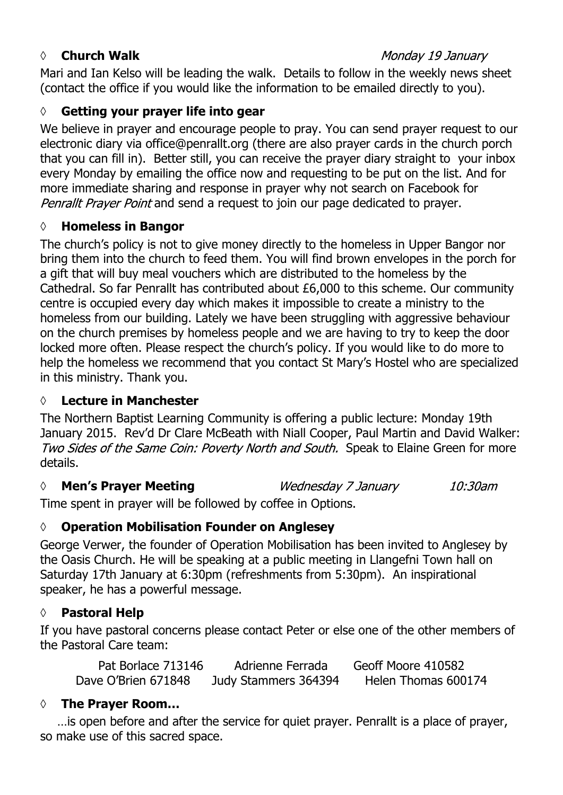#### *◊* **Church Walk**

Mari and Ian Kelso will be leading the walk. Details to follow in the weekly news sheet (contact the office if you would like the information to be emailed directly to you).

## **◊ Getting your prayer life into gear**

We believe in prayer and encourage people to pray. You can send prayer request to our electronic diary via office@penrallt.org (there are also prayer cards in the church porch that you can fill in). Better still, you can receive the prayer diary straight to your inbox every Monday by emailing the office now and requesting to be put on the list. And for more immediate sharing and response in prayer why not search on Facebook for Penrallt Prayer Point and send a request to join our page dedicated to prayer.

### **◊ Homeless in Bangor**

The church's policy is not to give money directly to the homeless in Upper Bangor nor bring them into the church to feed them. You will find brown envelopes in the porch for a gift that will buy meal vouchers which are distributed to the homeless by the Cathedral. So far Penrallt has contributed about £6,000 to this scheme. Our community centre is occupied every day which makes it impossible to create a ministry to the homeless from our building. Lately we have been struggling with aggressive behaviour on the church premises by homeless people and we are having to try to keep the door locked more often. Please respect the church's policy. If you would like to do more to help the homeless we recommend that you contact St Mary's Hostel who are specialized in this ministry. Thank you.

#### **◊ Lecture in Manchester**

The Northern Baptist Learning Community is offering a public lecture: Monday 19th January 2015. Rev'd Dr Clare McBeath with Niall Cooper, Paul Martin and David Walker: Two Sides of the Same Coin: Poverty North and South. Speak to Elaine Green for more details.

#### *◊* **Men's Prayer Meeting** Wednesday 7 January 10:30am

Time spent in prayer will be followed by coffee in Options.

## **◊ Operation Mobilisation Founder on Anglesey**

George Verwer, the founder of Operation Mobilisation has been invited to Anglesey by the Oasis Church. He will be speaking at a public meeting in Llangefni Town hall on Saturday 17th January at 6:30pm (refreshments from 5:30pm). An inspirational speaker, he has a powerful message.

## **◊ Pastoral Help**

If you have pastoral concerns please contact Peter or else one of the other members of the Pastoral Care team:

| Pat Borlace 713146  | Adrienne Ferrada     | Geoff Moore 410582  |
|---------------------|----------------------|---------------------|
| Dave O'Brien 671848 | Judy Stammers 364394 | Helen Thomas 600174 |

#### **◊ The Prayer Room…**

…is open before and after the service for quiet prayer. Penrallt is a place of prayer, so make use of this sacred space.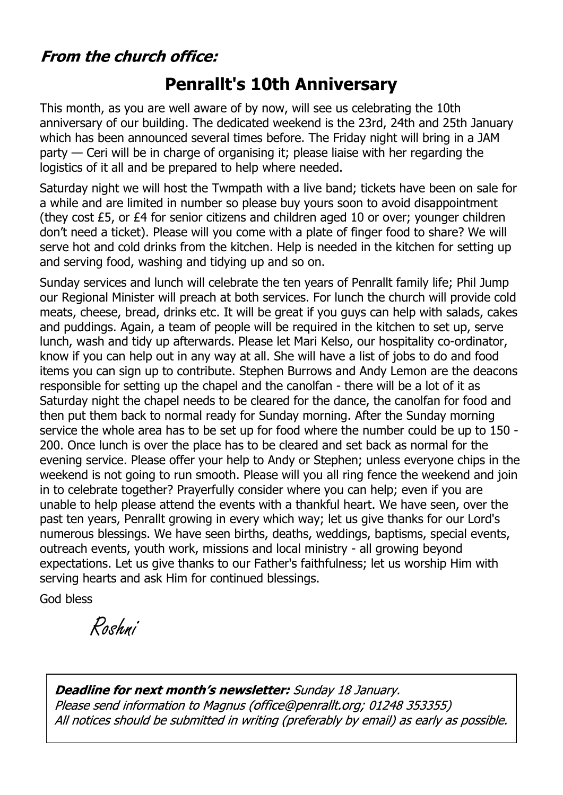# **From the church office:**

# **Penrallt's 10th Anniversary**

This month, as you are well aware of by now, will see us celebrating the 10th anniversary of our building. The dedicated weekend is the 23rd, 24th and 25th January which has been announced several times before. The Friday night will bring in a JAM party — Ceri will be in charge of organising it; please liaise with her regarding the logistics of it all and be prepared to help where needed.

Saturday night we will host the Twmpath with a live band; tickets have been on sale for a while and are limited in number so please buy yours soon to avoid disappointment (they cost £5, or £4 for senior citizens and children aged 10 or over; younger children don't need a ticket). Please will you come with a plate of finger food to share? We will serve hot and cold drinks from the kitchen. Help is needed in the kitchen for setting up and serving food, washing and tidying up and so on.

Sunday services and lunch will celebrate the ten years of Penrallt family life; Phil Jump our Regional Minister will preach at both services. For lunch the church will provide cold meats, cheese, bread, drinks etc. It will be great if you guys can help with salads, cakes and puddings. Again, a team of people will be required in the kitchen to set up, serve lunch, wash and tidy up afterwards. Please let Mari Kelso, our hospitality co-ordinator, know if you can help out in any way at all. She will have a list of jobs to do and food items you can sign up to contribute. Stephen Burrows and Andy Lemon are the deacons responsible for setting up the chapel and the canolfan - there will be a lot of it as Saturday night the chapel needs to be cleared for the dance, the canolfan for food and then put them back to normal ready for Sunday morning. After the Sunday morning service the whole area has to be set up for food where the number could be up to 150 - 200. Once lunch is over the place has to be cleared and set back as normal for the evening service. Please offer your help to Andy or Stephen; unless everyone chips in the weekend is not going to run smooth. Please will you all ring fence the weekend and join in to celebrate together? Prayerfully consider where you can help; even if you are unable to help please attend the events with a thankful heart. We have seen, over the past ten years, Penrallt growing in every which way; let us give thanks for our Lord's numerous blessings. We have seen births, deaths, weddings, baptisms, special events, outreach events, youth work, missions and local ministry - all growing beyond expectations. Let us give thanks to our Father's faithfulness; let us worship Him with serving hearts and ask Him for continued blessings.

God bless

Roshni

**Deadline for next month's newsletter:** Sunday 18 January. Please send information to Magnus (office@penrallt.org; 01248 353355) All notices should be submitted in writing (preferably by email) as early as possible.